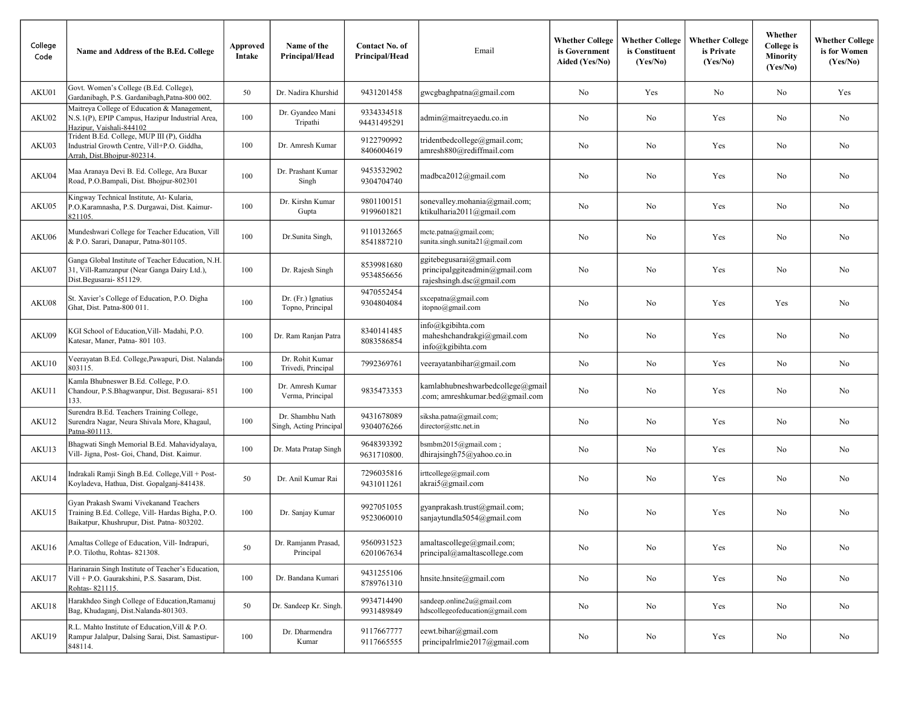| College<br>Code | Name and Address of the B.Ed. College                                                                                                    | Approved<br>Intake | Name of the<br>Principal/Head               | Contact No. of<br>Principal/Head | Email                                                                                  | <b>Whether College</b><br>is Government<br>Aided (Yes/No) | <b>Whether College</b><br>is Constituent<br>(Yes/No) | <b>Whether College</b><br>is Private<br>(Yes/No) | Whether<br><b>College</b> is<br><b>Minority</b><br>(Yes/No) | <b>Whether College</b><br>is for Women<br>(Yes/No) |
|-----------------|------------------------------------------------------------------------------------------------------------------------------------------|--------------------|---------------------------------------------|----------------------------------|----------------------------------------------------------------------------------------|-----------------------------------------------------------|------------------------------------------------------|--------------------------------------------------|-------------------------------------------------------------|----------------------------------------------------|
| AKU01           | Govt. Women's College (B.Ed. College),<br>Gardanibagh, P.S. Gardanibagh, Patna-800 002.                                                  | 50                 | Dr. Nadira Khurshid                         | 9431201458                       | gwcgbaghpatna@gmail.com                                                                | No                                                        | Yes                                                  | No                                               | No                                                          | Yes                                                |
| AKU02           | Maitreya College of Education & Management,<br>N.S.1(P), EPIP Campus, Hazipur Industrial Area,<br>Hazipur, Vaishali-844102               | 100                | Dr. Gyandeo Mani<br>Tripathi                | 9334334518<br>94431495291        | admin@maitreyaedu.co.in                                                                | No                                                        | N <sub>o</sub>                                       | Yes                                              | No                                                          | N <sub>o</sub>                                     |
| AKU03           | Trident B.Ed. College, MUP III (P), Giddha<br>Industrial Growth Centre, Vill+P.O. Giddha,<br>Arrah, Dist.Bhojpur-802314.                 | 100                | Dr. Amresh Kumar                            | 9122790992<br>8406004619         | tridentbedcollege@gmail.com;<br>amresh880@rediffmail.com                               | No                                                        | No                                                   | Yes                                              | No.                                                         | No                                                 |
| AKU04           | Maa Aranaya Devi B. Ed. College, Ara Buxar<br>Road, P.O.Bampali, Dist. Bhojpur-802301                                                    | 100                | Dr. Prashant Kumar<br>Singh                 | 9453532902<br>9304704740         | madbca2012@gmail.com                                                                   | No                                                        | No                                                   | Yes                                              | No                                                          | No                                                 |
| AKU05           | Kingway Technical Institute, At- Kularia,<br>P.O.Karamnasha, P.S. Durgawai, Dist. Kaimur-<br>821105                                      | 100                | Dr. Kirshn Kumar<br>Gupta                   | 9801100151<br>9199601821         | sonevalley.mohania@gmail.com;<br>ktikulharia2011@gmail.com                             | No                                                        | No                                                   | Yes                                              | No                                                          | No                                                 |
| AKU06           | Mundeshwari College for Teacher Education, Vill<br>& P.O. Sarari, Danapur, Patna-801105.                                                 | 100                | Dr.Sunita Singh,                            | 9110132665<br>8541887210         | mcte.patna@gmail.com;<br>sunita.singh.sunita21@gmail.com                               | No                                                        | No                                                   | Yes                                              | No                                                          | No                                                 |
| AKU07           | Ganga Global Institute of Teacher Education, N.H.<br>31, Vill-Ramzanpur (Near Ganga Dairy Ltd.),<br>Dist.Begusarai-851129.               | 100                | Dr. Rajesh Singh                            | 8539981680<br>9534856656         | ggitebegusarai@gmail.com<br>principalggiteadmin@gmail.com<br>rajeshsingh.dsc@gmail.com | No                                                        | No                                                   | Yes                                              | No                                                          | No                                                 |
| AKU08           | St. Xavier's College of Education, P.O. Digha<br>Ghat, Dist. Patna-800 011.                                                              | 100                | Dr. (Fr.) Ignatius<br>Topno, Principal      | 9470552454<br>9304804084         | sxcepatna@gmail.com<br>itopno@gmail.com                                                | No                                                        | No                                                   | Yes                                              | Yes                                                         | No                                                 |
| AKU09           | KGI School of Education, Vill- Madahi, P.O.<br>Katesar, Maner, Patna-801 103.                                                            | 100                | Dr. Ram Ranjan Patra                        | 8340141485<br>8083586854         | info@kgibihta.com<br>maheshchandrakgi@gmail.com<br>info@kgibihta.com                   | No                                                        | No                                                   | Yes                                              | No                                                          | No                                                 |
| AKU10           | Veerayatan B.Ed. College, Pawapuri, Dist. Nalanda-<br>803115.                                                                            | 100                | Dr. Rohit Kumar<br>Trivedi, Principal       | 7992369761                       | veerayatanbihar@gmail.com                                                              | No                                                        | No                                                   | Yes                                              | No                                                          | N <sub>o</sub>                                     |
| AKU11           | Kamla Bhubneswer B.Ed. College, P.O.<br>Chandour, P.S.Bhagwanpur, Dist. Begusarai-851<br>133.                                            | 100                | Dr. Amresh Kumar<br>Verma, Principal        | 9835473353                       | kamlabhubneshwarbedcollege@gmail<br>.com; amreshkumar.bed@gmail.com                    | No                                                        | No                                                   | Yes                                              | No                                                          | No                                                 |
| AKU12           | Surendra B.Ed. Teachers Training College,<br>Surendra Nagar, Neura Shivala More, Khagaul,<br>Patna-801113.                               | 100                | Dr. Shambhu Nath<br>Singh, Acting Principal | 9431678089<br>9304076266         | siksha.patna@gmail.com;<br>director@sttc.net.in                                        | No                                                        | No                                                   | Yes                                              | No                                                          | No                                                 |
| AKU13           | Bhagwati Singh Memorial B.Ed. Mahavidyalaya,<br>Vill- Jigna, Post- Goi, Chand, Dist. Kaimur.                                             | 100                | Dr. Mata Pratap Singh                       | 9648393392<br>9631710800.        | bsmbm2015@gmail.com;<br>dhirajsingh $75$ @yahoo.co.in                                  | No                                                        | No                                                   | Yes                                              | No                                                          | No                                                 |
| AKU14           | Indrakali Ramji Singh B.Ed. College, Vill + Post-<br>Koyladeva, Hathua, Dist. Gopalganj-841438.                                          | 50                 | Dr. Anil Kumar Rai                          | 7296035816<br>9431011261         | irttcollege@gmail.com<br>akrai5@gmail.com                                              | No                                                        | No                                                   | Yes                                              | N <sub>o</sub>                                              | No                                                 |
| AKU15           | Gyan Prakash Swami Vivekanand Teachers<br>Training B.Ed. College, Vill- Hardas Bigha, P.O.<br>Baikatpur, Khushrupur, Dist. Patna-803202. | 100                | Dr. Sanjay Kumar                            | 9927051055<br>9523060010         | gyanprakash.trust@gmail.com;<br>sanjaytundla5054@gmail.com                             | No                                                        | No                                                   | Yes                                              | No                                                          | No                                                 |
| AKU16           | Amaltas College of Education, Vill- Indrapuri,<br>P.O. Tilothu, Rohtas- 821308.                                                          | 50                 | Dr. Ramjanm Prasad,<br>Principal            | 9560931523<br>6201067634         | amaltascollege@gmail.com;<br>principal@amaltascollege.com                              | No                                                        | No                                                   | Yes                                              | No                                                          | No                                                 |
| AKU17           | Harinarain Singh Institute of Teacher's Education,<br>Vill + P.O. Gaurakshini, P.S. Sasaram, Dist.<br>Rohtas-821115.                     | 100                | Dr. Bandana Kumari                          | 9431255106<br>8789761310         | hnsite.hnsite@gmail.com                                                                | No                                                        | No                                                   | Yes                                              | No                                                          | No                                                 |
| AKU18           | Harakhdeo Singh College of Education, Ramanuj<br>Bag, Khudaganj, Dist.Nalanda-801303.                                                    | 50                 | Dr. Sandeep Kr. Singh.                      | 9934714490<br>9931489849         | sandeep.online2u@gmail.com<br>hdscollegeofeducation@gmail.com                          | No                                                        | No                                                   | Yes                                              | No                                                          | No                                                 |
| AKU19           | R.L. Mahto Institute of Education, Vill & P.O.<br>Rampur Jalalpur, Dalsing Sarai, Dist. Samastipur-<br>848114.                           | 100                | Dr. Dharmendra<br>Kumar                     | 9117667777<br>9117665555         | eewt.bihar@gmail.com<br>principalrlmie2017@gmail.com                                   | No                                                        | No                                                   | Yes                                              | No                                                          | No                                                 |